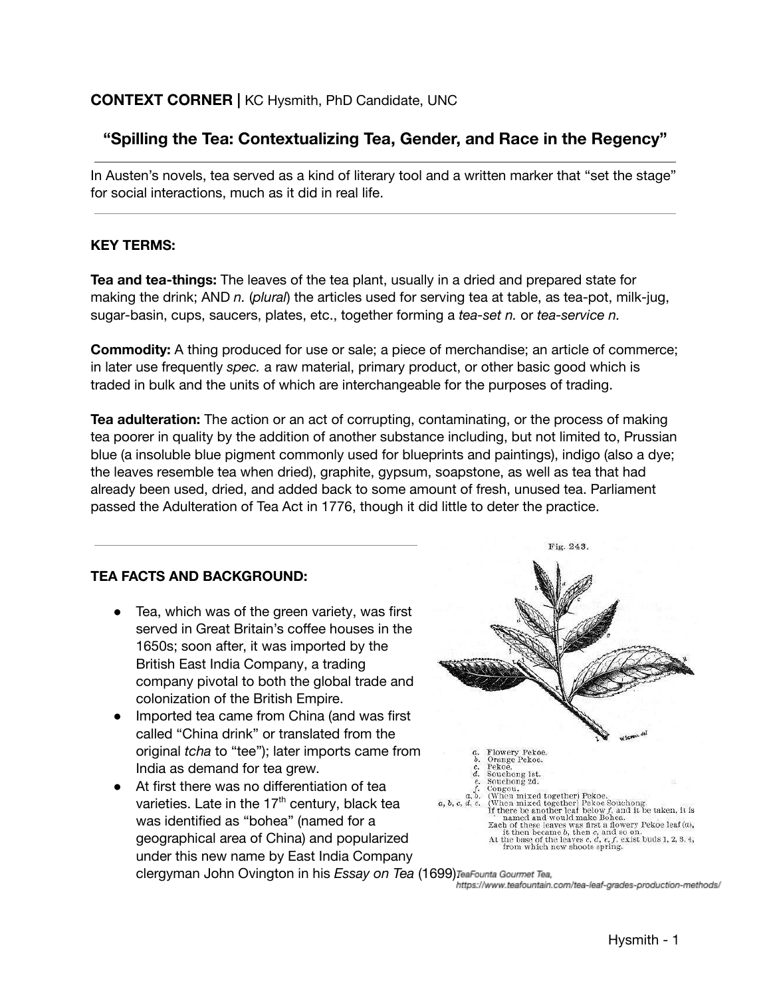## **CONTEXT CORNER |** KC Hysmith, PhD Candidate, UNC

# **"Spilling the Tea: Contextualizing Tea, Gender, and Race in the Regency"**

In Austen's novels, tea served as a kind of literary tool and a written marker that "set the stage" for social interactions, much as it did in real life.

#### **KEY TERMS:**

**Tea and tea-things:** The leaves of the tea plant, usually in a dried and prepared state for making the drink; AND *n.* (*plural*) the articles used for serving tea at table, as tea-pot, milk-jug, sugar-basin, cups, saucers, plates, etc., together forming a *tea-set n.* or *tea-service n.*

**Commodity:** A thing produced for use or sale; a piece of merchandise; an article of commerce; in later use frequently *spec.* a raw material, primary product, or other basic good which is traded in bulk and the units of which are interchangeable for the purposes of trading.

**Tea adulteration:** The action or an act of corrupting, contaminating, or the process of making tea poorer in quality by the addition of another substance including, but not limited to, Prussian blue (a insoluble blue pigment commonly used for blueprints and paintings), indigo (also a dye; the leaves resemble tea when dried), graphite, gypsum, soapstone, as well as tea that had already been used, dried, and added back to some amount of fresh, unused tea. Parliament passed the Adulteration of Tea Act in 1776, though it did little to deter the practice.

#### **TEA FACTS AND BACKGROUND:**

- Tea, which was of the green variety, was first served in Great Britain's coffee houses in the 1650s; soon after, it was imported by the British East India Company, a trading company pivotal to both the global trade and colonization of the British Empire.
- Imported tea came from China (and was first called "China drink" or translated from the original *tcha* to "tee"); later imports came from India as demand for tea grew.
- At first there was no differentiation of tea varieties. Late in the 17<sup>th</sup> century, black tea was identified as "bohea" (named for a geographical area of China) and popularized under this new name by East India Company clergyman John Ovington in his *Essay on Tea* (1699).

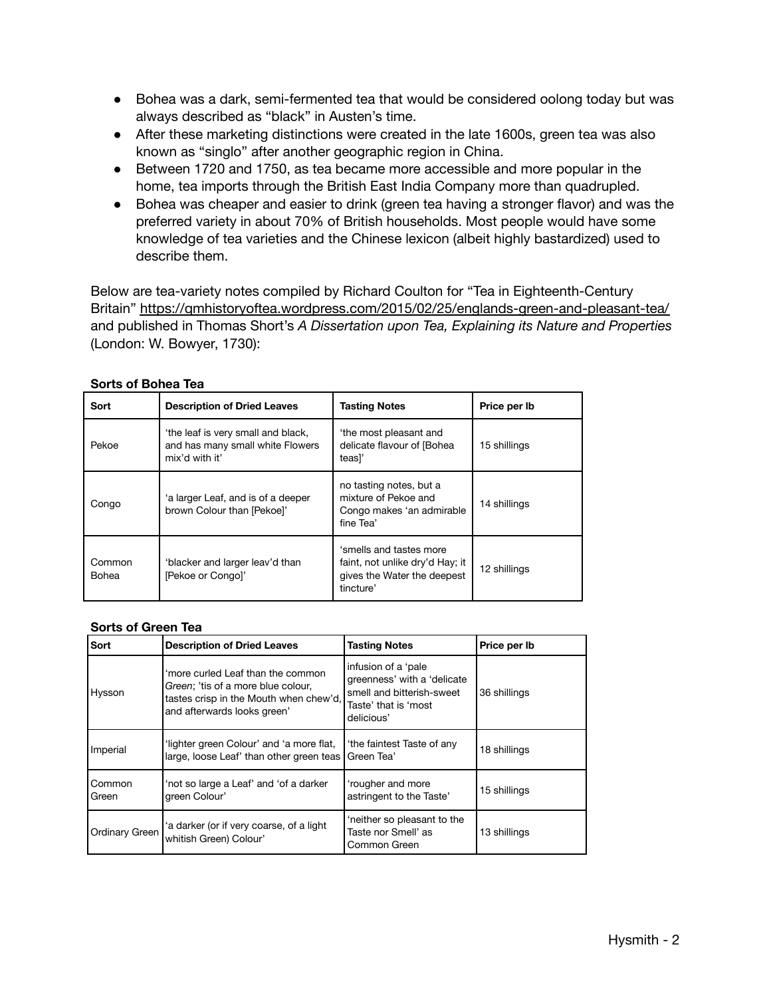- Bohea was a dark, semi-fermented tea that would be considered oolong today but was always described as "black" in Austen's time.
- After these marketing distinctions were created in the late 1600s, green tea was also known as "singlo" after another geographic region in China.
- Between 1720 and 1750, as tea became more accessible and more popular in the home, tea imports through the British East India Company more than quadrupled.
- Bohea was cheaper and easier to drink (green tea having a stronger flavor) and was the preferred variety in about 70% of British households. Most people would have some knowledge of tea varieties and the Chinese lexicon (albeit highly bastardized) used to describe them.

Below are tea-variety notes compiled by Richard Coulton for "Tea in Eighteenth-Century Britain" https://qmhistoryoftea.wordpress.com/2015/02/25/englands-green-and-pleasant-tea/ and published in Thomas Short's *A Dissertation upon Tea, Explaining its Nature and Properties* (London: W. Bowyer, 1730):

| Sort            | <b>Description of Dried Leaves</b>                                                      | <b>Tasting Notes</b>                                                                                   | Price per Ib |
|-----------------|-----------------------------------------------------------------------------------------|--------------------------------------------------------------------------------------------------------|--------------|
| Pekoe           | the leaf is very small and black,<br>and has many small white Flowers<br>mix'd with it' | 'the most pleasant and<br>delicate flavour of [Bohea<br>teasl'                                         | 15 shillings |
| Congo           | 'a larger Leaf, and is of a deeper<br>brown Colour than [Pekoe]'                        | no tasting notes, but a<br>mixture of Pekoe and<br>Congo makes 'an admirable<br>fine Tea'              | 14 shillings |
| Common<br>Bohea | 'blacker and larger leav'd than<br>[Pekoe or Congo]'                                    | 'smells and tastes more<br>faint, not unlike dry'd Hay; it<br>gives the Water the deepest<br>tincture' | 12 shillings |

#### **Sorts of Bohea Tea**

#### **Sorts of Green Tea**

| Sort                  | <b>Description of Dried Leaves</b>                                                                                                               | <b>Tasting Notes</b>                                                                                                  | Price per Ib |
|-----------------------|--------------------------------------------------------------------------------------------------------------------------------------------------|-----------------------------------------------------------------------------------------------------------------------|--------------|
| Hysson                | 'more curled Leaf than the common<br>Green; 'tis of a more blue colour,<br>tastes crisp in the Mouth when chew'd,<br>and afterwards looks green' | infusion of a 'pale<br>greenness' with a 'delicate<br>smell and bitterish-sweet<br>Taste' that is 'most<br>delicious' | 36 shillings |
| Imperial              | 'lighter green Colour' and 'a more flat,<br>large, loose Leaf' than other green teas                                                             | 'the faintest Taste of any<br>Green Tea'                                                                              | 18 shillings |
| Common<br>Green       | 'not so large a Leaf' and 'of a darker<br>green Colour'                                                                                          | 'rougher and more<br>astringent to the Taste'                                                                         | 15 shillings |
| <b>Ordinary Green</b> | 'a darker (or if very coarse, of a light<br>whitish Green) Colour'                                                                               | 'neither so pleasant to the<br>Taste nor Smell' as<br>Common Green                                                    | 13 shillings |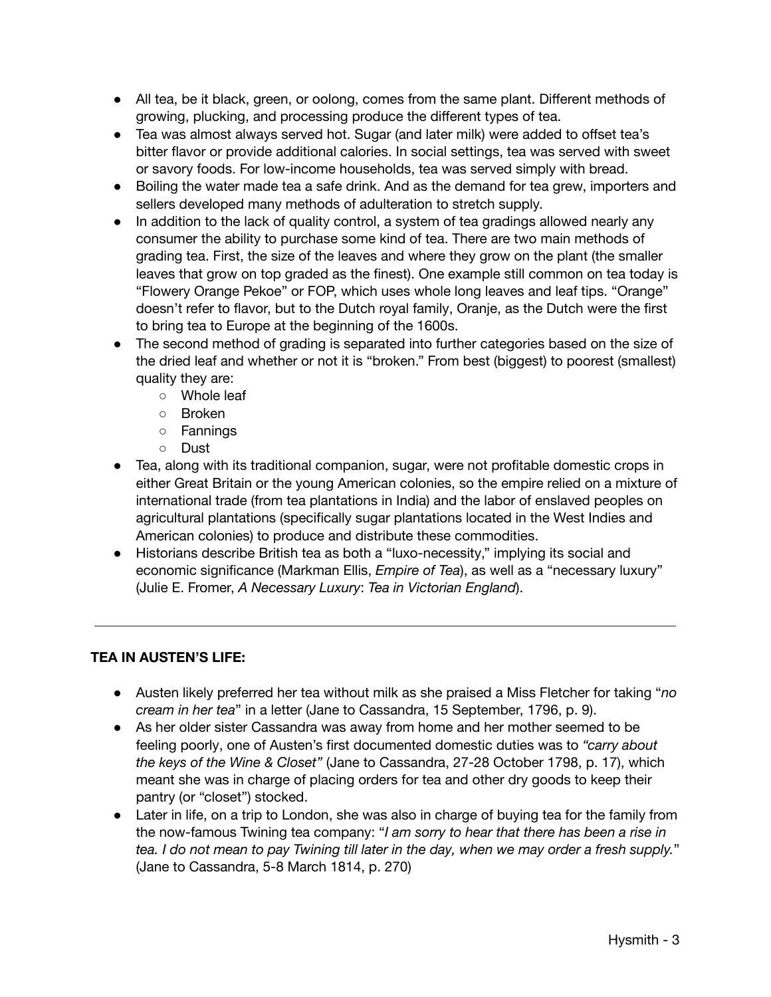- All tea, be it black, green, or oolong, comes from the same plant. Different methods of growing, plucking, and processing produce the different types of tea.
- Tea was almost always served hot. Sugar (and later milk) were added to offset tea's bitter flavor or provide additional calories. In social settings, tea was served with sweet or savory foods. For low-income households, tea was served simply with bread.
- Boiling the water made tea a safe drink. And as the demand for tea grew, importers and sellers developed many methods of adulteration to stretch supply.
- In addition to the lack of quality control, a system of tea gradings allowed nearly any consumer the ability to purchase some kind of tea. There are two main methods of grading tea. First, the size of the leaves and where they grow on the plant (the smaller leaves that grow on top graded as the finest). One example still common on tea today is "Flowery Orange Pekoe" or FOP, which uses whole long leaves and leaf tips. "Orange" doesn't refer to flavor, but to the Dutch royal family, Oranje, as the Dutch were the first to bring tea to Europe at the beginning of the 1600s.
- The second method of grading is separated into further categories based on the size of the dried leaf and whether or not it is "broken." From best (biggest) to poorest (smallest) quality they are:
	- Whole leaf
	- Broken
	- Fannings
	- Dust
- Tea, along with its traditional companion, sugar, were not profitable domestic crops in either Great Britain or the young American colonies, so the empire relied on a mixture of international trade (from tea plantations in India) and the labor of enslaved peoples on agricultural plantations (specifically sugar plantations located in the West Indies and American colonies) to produce and distribute these commodities.
- Historians describe British tea as both a "luxo-necessity," implying its social and economic significance (Markman Ellis, *Empire of Tea*), as well as a "necessary luxury" (Julie E. Fromer, *A Necessary Luxury*: *Tea in Victorian England*).

## **TEA IN AUSTEN'S LIFE:**

- Austen likely preferred her tea without milk as she praised a Miss Fletcher for taking "*no cream in her tea*" in a letter (Jane to Cassandra, 15 September, 1796, p. 9).
- As her older sister Cassandra was away from home and her mother seemed to be feeling poorly, one of Austen's first documented domestic duties was to *"carry about the keys of the Wine & Closet"* (Jane to Cassandra, 27-28 October 1798, p. 17), which meant she was in charge of placing orders for tea and other dry goods to keep their pantry (or "closet") stocked.
- Later in life, on a trip to London, she was also in charge of buying tea for the family from the now-famous Twining tea company: "*I am sorry to hear that there has been a rise in* tea. I do not mean to pay Twining till later in the day, when we may order a fresh supply." (Jane to Cassandra, 5-8 March 1814, p. 270)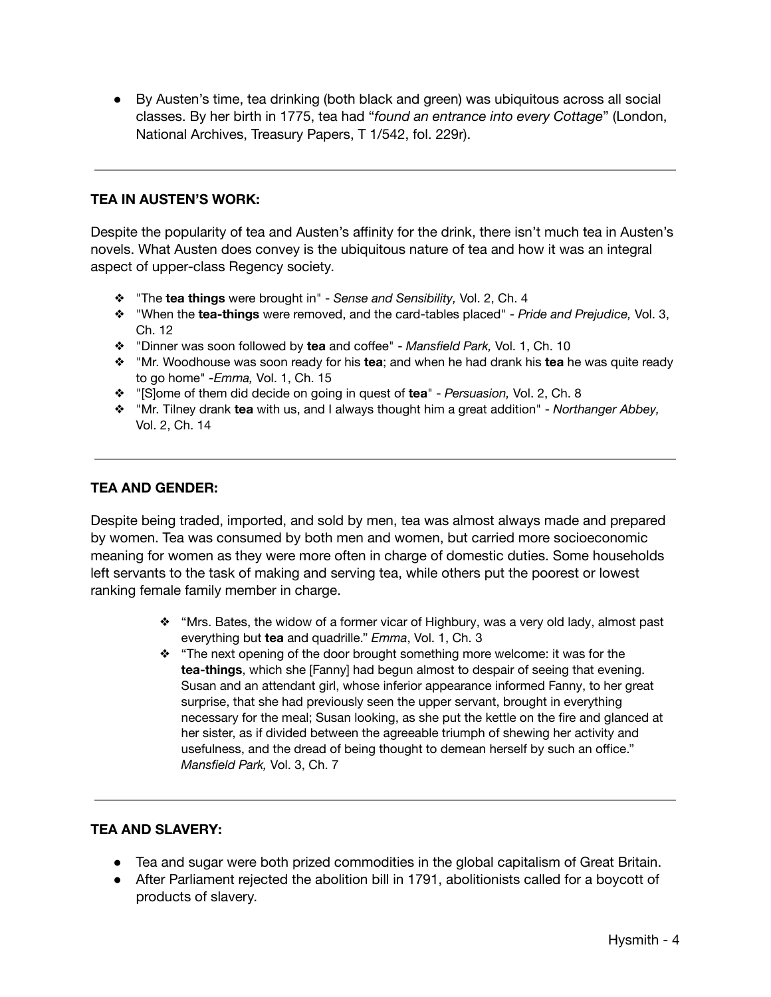● By Austen's time, tea drinking (both black and green) was ubiquitous across all social classes. By her birth in 1775, tea had "*found an entrance into every Cottage*" (London, National Archives, Treasury Papers, T 1/542, fol. 229r).

### **TEA IN AUSTEN'S WORK:**

Despite the popularity of tea and Austen's affinity for the drink, there isn't much tea in Austen's novels. What Austen does convey is the ubiquitous nature of tea and how it was an integral aspect of upper-class Regency society.

- ❖ "The **tea things** were brought in" *Sense and Sensibility,* Vol. 2, Ch. 4
- ❖ "When the **tea-things** were removed, and the card-tables placed" *Pride and Prejudice,* Vol. 3, Ch. 12
- ❖ "Dinner was soon followed by **tea** and coffee" *Mansfield Park,* Vol. 1, Ch. 10
- ❖ "Mr. Woodhouse was soon ready for his **tea**; and when he had drank his **tea** he was quite ready to go home" *-Emma,* Vol. 1, Ch. 15
- ❖ "[S]ome of them did decide on going in quest of **tea**" *Persuasion,* Vol. 2, Ch. 8
- ❖ "Mr. Tilney drank **tea** with us, and I always thought him a great addition" *Northanger Abbey,* Vol. 2, Ch. 14

#### **TEA AND GENDER:**

Despite being traded, imported, and sold by men, tea was almost always made and prepared by women. Tea was consumed by both men and women, but carried more socioeconomic meaning for women as they were more often in charge of domestic duties. Some households left servants to the task of making and serving tea, while others put the poorest or lowest ranking female family member in charge.

- ❖ "Mrs. Bates, the widow of a former vicar of Highbury, was a very old lady, almost past everything but **tea** and quadrille." *Emma*, Vol. 1, Ch. 3
- ❖ "The next opening of the door brought something more welcome: it was for the **tea-things**, which she [Fanny] had begun almost to despair of seeing that evening. Susan and an attendant girl, whose inferior appearance informed Fanny, to her great surprise, that she had previously seen the upper servant, brought in everything necessary for the meal; Susan looking, as she put the kettle on the fire and glanced at her sister, as if divided between the agreeable triumph of shewing her activity and usefulness, and the dread of being thought to demean herself by such an office." *Mansfield Park,* Vol. 3, Ch. 7

#### **TEA AND SLAVERY:**

- Tea and sugar were both prized commodities in the global capitalism of Great Britain.
- After Parliament rejected the abolition bill in 1791, abolitionists called for a boycott of products of slavery.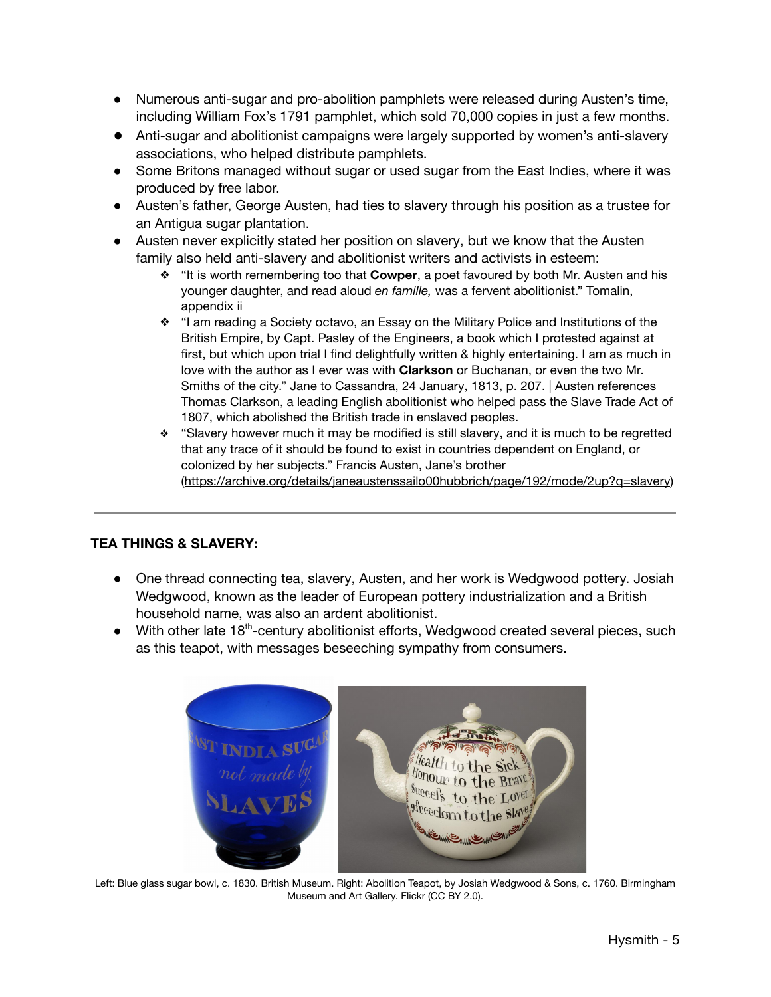- Numerous anti-sugar and pro-abolition pamphlets were released during Austen's time, including William Fox's 1791 pamphlet, which sold 70,000 copies in just a few months.
- Anti-sugar and abolitionist campaigns were largely supported by women's anti-slavery associations, who helped distribute pamphlets.
- Some Britons managed without sugar or used sugar from the East Indies, where it was produced by free labor.
- Austen's father, George Austen, had ties to slavery through his position as a trustee for an Antigua sugar plantation.
- Austen never explicitly stated her position on slavery, but we know that the Austen family also held anti-slavery and abolitionist writers and activists in esteem:
	- ❖ "It is worth remembering too that **Cowper**, a poet favoured by both Mr. Austen and his younger daughter, and read aloud *en famille,* was a fervent abolitionist." Tomalin, appendix ii
	- ❖ "I am reading a Society octavo, an Essay on the Military Police and Institutions of the British Empire, by Capt. Pasley of the Engineers, a book which I protested against at first, but which upon trial I find delightfully written & highly entertaining. I am as much in love with the author as I ever was with **Clarkson** or Buchanan, or even the two Mr. Smiths of the city." Jane to Cassandra, 24 January, 1813, p. 207. | Austen references Thomas Clarkson, a leading English abolitionist who helped pass the Slave Trade Act of 1807, which abolished the British trade in enslaved peoples.
	- ❖ "Slavery however much it may be modified is still slavery, and it is much to be regretted that any trace of it should be found to exist in countries dependent on England, or colonized by her subjects." Francis Austen, Jane's brother (https://archive.org/details/janeaustenssailo00hubbrich/page/192/mode/2up?q=slavery)

# **TEA THINGS & SLAVERY:**

- One thread connecting tea, slavery, Austen, and her work is Wedgwood pottery. Josiah Wedgwood, known as the leader of European pottery industrialization and a British household name, was also an ardent abolitionist.
- With other late 18<sup>th</sup>-century abolitionist efforts, Wedgwood created several pieces, such as this teapot, with messages beseeching sympathy from consumers.



Left: Blue glass sugar bowl, c. 1830. British Museum. Right: Abolition Teapot, by Josiah Wedgwood & Sons, c. 1760. Birmingham Museum and Art Gallery. Flickr (CC BY 2.0).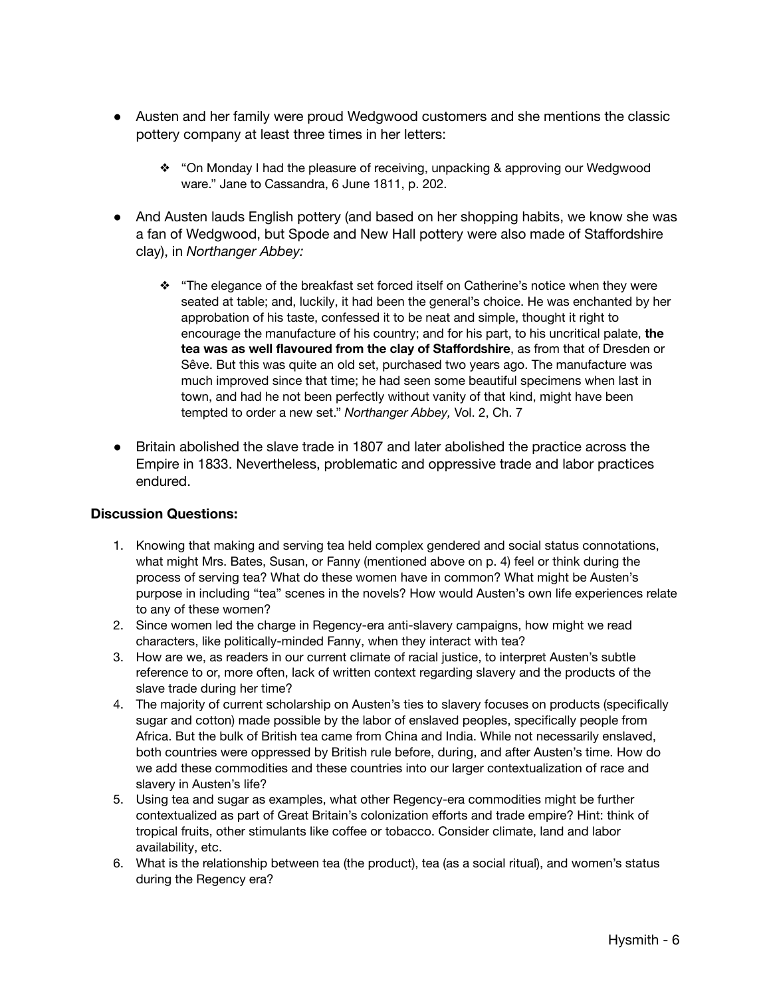- Austen and her family were proud Wedgwood customers and she mentions the classic pottery company at least three times in her letters:
	- ❖ "On Monday I had the pleasure of receiving, unpacking & approving our Wedgwood ware." Jane to Cassandra, 6 June 1811, p. 202.
- And Austen lauds English pottery (and based on her shopping habits, we know she was a fan of Wedgwood, but Spode and New Hall pottery were also made of Staffordshire clay), in *Northanger Abbey:*
	- ❖ "The elegance of the breakfast set forced itself on Catherine's notice when they were seated at table; and, luckily, it had been the general's choice. He was enchanted by her approbation of his taste, confessed it to be neat and simple, thought it right to encourage the manufacture of his country; and for his part, to his uncritical palate, **the tea was as well flavoured from the clay of Staffordshire**, as from that of Dresden or Sêve. But this was quite an old set, purchased two years ago. The manufacture was much improved since that time; he had seen some beautiful specimens when last in town, and had he not been perfectly without vanity of that kind, might have been tempted to order a new set." *Northanger Abbey,* Vol. 2, Ch. 7
- Britain abolished the slave trade in 1807 and later abolished the practice across the Empire in 1833. Nevertheless, problematic and oppressive trade and labor practices endured.

#### **Discussion Questions:**

- 1. Knowing that making and serving tea held complex gendered and social status connotations, what might Mrs. Bates, Susan, or Fanny (mentioned above on p. 4) feel or think during the process of serving tea? What do these women have in common? What might be Austen's purpose in including "tea" scenes in the novels? How would Austen's own life experiences relate to any of these women?
- 2. Since women led the charge in Regency-era anti-slavery campaigns, how might we read characters, like politically-minded Fanny, when they interact with tea?
- 3. How are we, as readers in our current climate of racial justice, to interpret Austen's subtle reference to or, more often, lack of written context regarding slavery and the products of the slave trade during her time?
- 4. The majority of current scholarship on Austen's ties to slavery focuses on products (specifically sugar and cotton) made possible by the labor of enslaved peoples, specifically people from Africa. But the bulk of British tea came from China and India. While not necessarily enslaved, both countries were oppressed by British rule before, during, and after Austen's time. How do we add these commodities and these countries into our larger contextualization of race and slavery in Austen's life?
- 5. Using tea and sugar as examples, what other Regency-era commodities might be further contextualized as part of Great Britain's colonization efforts and trade empire? Hint: think of tropical fruits, other stimulants like coffee or tobacco. Consider climate, land and labor availability, etc.
- 6. What is the relationship between tea (the product), tea (as a social ritual), and women's status during the Regency era?